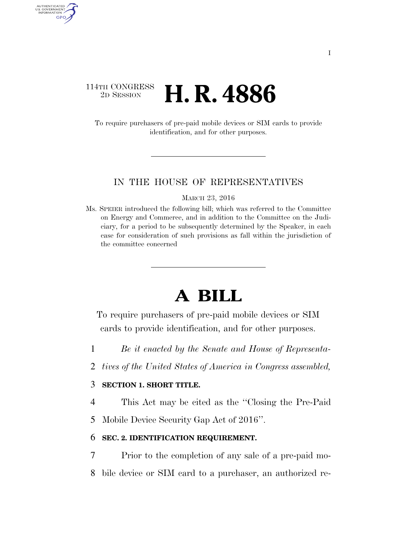# 114TH CONGRESS <sup>2D SESSION</sup> **H. R. 4886**

AUTHENTICATED<br>U.S. GOVERNMENT<br>INFORMATION **GPO** 

> To require purchasers of pre-paid mobile devices or SIM cards to provide identification, and for other purposes.

## IN THE HOUSE OF REPRESENTATIVES

MARCH 23, 2016

Ms. SPEIER introduced the following bill; which was referred to the Committee on Energy and Commerce, and in addition to the Committee on the Judiciary, for a period to be subsequently determined by the Speaker, in each case for consideration of such provisions as fall within the jurisdiction of the committee concerned

# **A BILL**

To require purchasers of pre-paid mobile devices or SIM cards to provide identification, and for other purposes.

- 1 *Be it enacted by the Senate and House of Representa-*
- 2 *tives of the United States of America in Congress assembled,*

## 3 **SECTION 1. SHORT TITLE.**

4 This Act may be cited as the ''Closing the Pre-Paid

5 Mobile Device Security Gap Act of 2016''.

## 6 **SEC. 2. IDENTIFICATION REQUIREMENT.**

- 7 Prior to the completion of any sale of a pre-paid mo-
- 8 bile device or SIM card to a purchaser, an authorized re-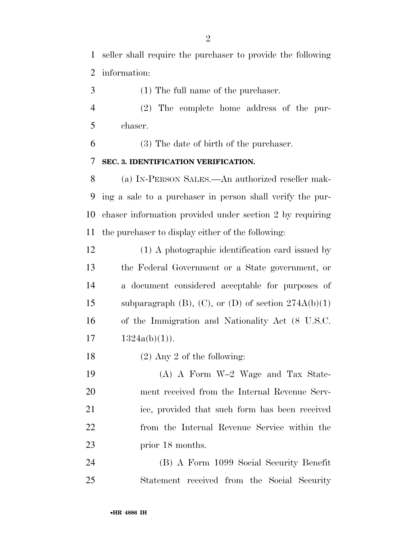seller shall require the purchaser to provide the following information:

(1) The full name of the purchaser.

 (2) The complete home address of the pur-chaser.

(3) The date of birth of the purchaser.

# **SEC. 3. IDENTIFICATION VERIFICATION.**

 (a) IN-PERSON SALES.—An authorized reseller mak- ing a sale to a purchaser in person shall verify the pur- chaser information provided under section 2 by requiring the purchaser to display either of the following:

 (1) A photographic identification card issued by the Federal Government or a State government, or a document considered acceptable for purposes of 15 subparagraph  $(B)$ ,  $(C)$ , or  $(D)$  of section  $274A(b)(1)$  of the Immigration and Nationality Act (8 U.S.C.  $17 \quad 1324a(b)(1)$ .

(2) Any 2 of the following:

 (A) A Form W–2 Wage and Tax State- ment received from the Internal Revenue Serv- ice, provided that such form has been received from the Internal Revenue Service within the 23 prior 18 months.

 (B) A Form 1099 Social Security Benefit Statement received from the Social Security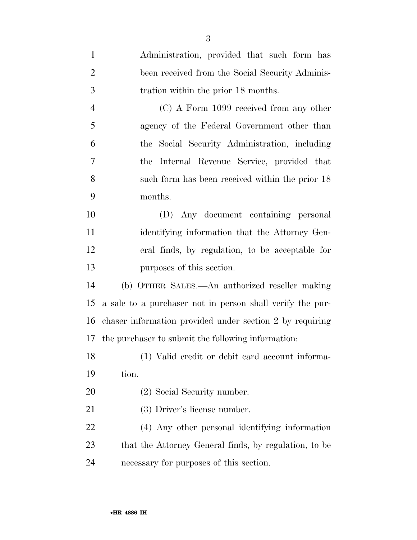| $\mathbf{1}$   | Administration, provided that such form has               |
|----------------|-----------------------------------------------------------|
| $\overline{2}$ | been received from the Social Security Adminis-           |
| 3              | tration within the prior 18 months.                       |
| $\overline{4}$ | $(C)$ A Form 1099 received from any other                 |
| 5              | agency of the Federal Government other than               |
| 6              | the Social Security Administration, including             |
| 7              | the Internal Revenue Service, provided that               |
| 8              | such form has been received within the prior 18           |
| 9              | months.                                                   |
| 10             | (D) Any document containing personal                      |
| 11             | identifying information that the Attorney Gen-            |
| 12             | eral finds, by regulation, to be acceptable for           |
| 13             | purposes of this section.                                 |
| 14             | (b) OTHER SALES.—An authorized reseller making            |
| 15             | a sale to a purchaser not in person shall verify the pur- |
| 16             | chaser information provided under section 2 by requiring  |
|                | 17 the purchaser to submit the following information:     |
| 18             | (1) Valid credit or debit card account informa-           |
| 19             | tion.                                                     |
| 20             | (2) Social Security number.                               |
| 21             | (3) Driver's license number.                              |
| 22             | (4) Any other personal identifying information            |
| 23             | that the Attorney General finds, by regulation, to be     |
| 24             | necessary for purposes of this section.                   |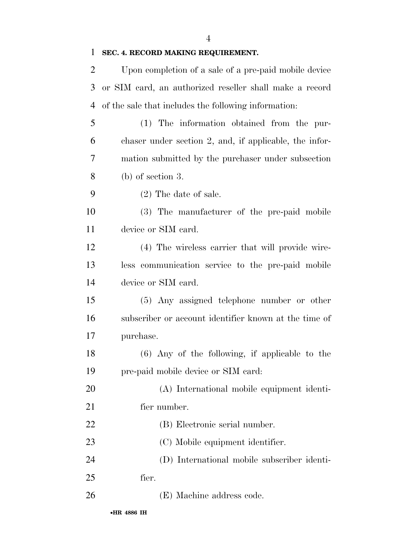# **SEC. 4. RECORD MAKING REQUIREMENT.**

| 2              | Upon completion of a sale of a pre-paid mobile device   |
|----------------|---------------------------------------------------------|
| 3              | or SIM card, an authorized reseller shall make a record |
| $\overline{4}$ | of the sale that includes the following information:    |
| 5              | (1) The information obtained from the pur-              |
| 6              | chaser under section 2, and, if applicable, the infor-  |
| 7              | mation submitted by the purchaser under subsection      |
| 8              | $(b)$ of section 3.                                     |
| 9              | $(2)$ The date of sale.                                 |
| 10             | (3) The manufacturer of the pre-paid mobile             |
| 11             | device or SIM card.                                     |
| 12             | (4) The wireless carrier that will provide wire-        |
| 13             | less communication service to the pre-paid mobile       |
| 14             | device or SIM card.                                     |
| 15             | (5) Any assigned telephone number or other              |
| 16             | subscriber or account identifier known at the time of   |
| 17             | purchase.                                               |
| 18             | $(6)$ Any of the following, if applicable to the        |
| 19             | pre-paid mobile device or SIM card:                     |
| 20             | (A) International mobile equipment identi-              |
| 21             | fier number.                                            |
| 22             | (B) Electronic serial number.                           |
| 23             | (C) Mobile equipment identifier.                        |
| 24             | (D) International mobile subscriber identi-             |
| 25             | fier.                                                   |
| 26             | (E) Machine address code.                               |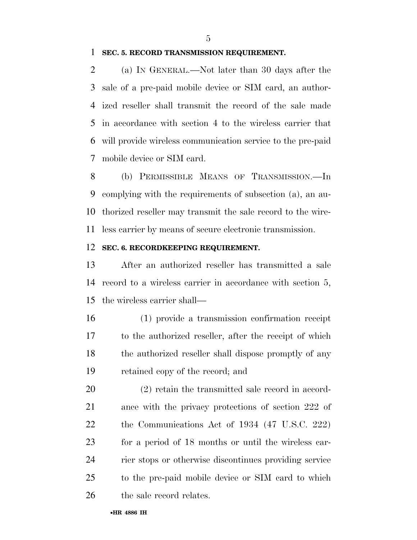#### **SEC. 5. RECORD TRANSMISSION REQUIREMENT.**

 (a) IN GENERAL.—Not later than 30 days after the sale of a pre-paid mobile device or SIM card, an author- ized reseller shall transmit the record of the sale made in accordance with section 4 to the wireless carrier that will provide wireless communication service to the pre-paid mobile device or SIM card.

 (b) PERMISSIBLE MEANS OF TRANSMISSION.—In complying with the requirements of subsection (a), an au- thorized reseller may transmit the sale record to the wire-less carrier by means of secure electronic transmission.

#### **SEC. 6. RECORDKEEPING REQUIREMENT.**

 After an authorized reseller has transmitted a sale record to a wireless carrier in accordance with section 5, the wireless carrier shall—

 (1) provide a transmission confirmation receipt to the authorized reseller, after the receipt of which the authorized reseller shall dispose promptly of any retained copy of the record; and

 (2) retain the transmitted sale record in accord- ance with the privacy protections of section 222 of the Communications Act of 1934 (47 U.S.C. 222) for a period of 18 months or until the wireless car- rier stops or otherwise discontinues providing service to the pre-paid mobile device or SIM card to which 26 the sale record relates.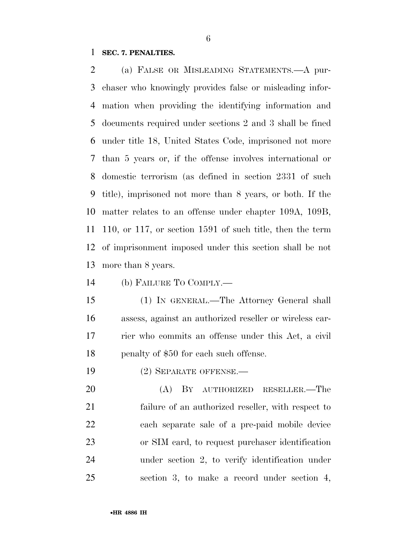## **SEC. 7. PENALTIES.**

 (a) FALSE OR MISLEADING STATEMENTS.—A pur- chaser who knowingly provides false or misleading infor- mation when providing the identifying information and documents required under sections 2 and 3 shall be fined under title 18, United States Code, imprisoned not more than 5 years or, if the offense involves international or domestic terrorism (as defined in section 2331 of such title), imprisoned not more than 8 years, or both. If the matter relates to an offense under chapter 109A, 109B, 110, or 117, or section 1591 of such title, then the term of imprisonment imposed under this section shall be not more than 8 years.

(b) FAILURE TO COMPLY.—

 (1) IN GENERAL.—The Attorney General shall assess, against an authorized reseller or wireless car- rier who commits an offense under this Act, a civil 18 penalty of \$50 for each such offense.

(2) SEPARATE OFFENSE.—

 (A) BY AUTHORIZED RESELLER.—The failure of an authorized reseller, with respect to each separate sale of a pre-paid mobile device or SIM card, to request purchaser identification under section 2, to verify identification under section 3, to make a record under section 4,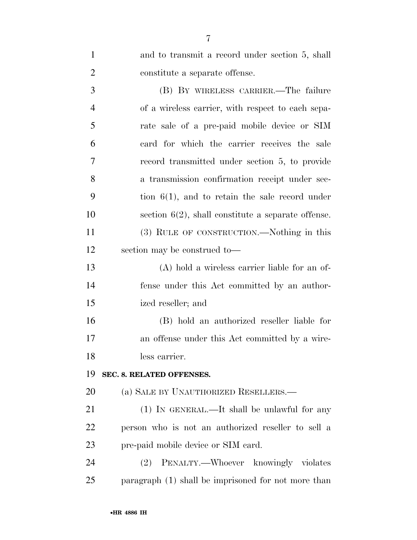| $\mathbf{1}$   | and to transmit a record under section 5, shall       |
|----------------|-------------------------------------------------------|
| $\overline{2}$ | constitute a separate offense.                        |
| 3              | (B) BY WIRELESS CARRIER.—The failure                  |
| $\overline{4}$ | of a wireless carrier, with respect to each sepa-     |
| 5              | rate sale of a pre-paid mobile device or SIM          |
| 6              | card for which the carrier receives the sale          |
| 7              | record transmitted under section 5, to provide        |
| 8              | a transmission confirmation receipt under sec-        |
| 9              | tion $6(1)$ , and to retain the sale record under     |
| 10             | section $6(2)$ , shall constitute a separate offense. |
| 11             | (3) RULE OF CONSTRUCTION.—Nothing in this             |
| 12             | section may be construed to-                          |
| 13             | $(A)$ hold a wireless carrier liable for an of-       |
| 14             | fense under this Act committed by an author-          |
| 15             | ized reseller; and                                    |
| 16             | (B) hold an authorized reseller liable for            |
| 17             | an offense under this Act committed by a wire-        |
| 18             | less carrier.                                         |
| 19             | SEC. 8. RELATED OFFENSES.                             |
| 20             | (a) SALE BY UNAUTHORIZED RESELLERS.—                  |
| 21             | $(1)$ IN GENERAL.—It shall be unlawful for any        |
| 22             | person who is not an authorized reseller to sell a    |
| 23             | pre-paid mobile device or SIM card.                   |
| 24             | PENALTY.—Whoever knowingly violates<br>(2)            |
| 25             | paragraph (1) shall be imprisoned for not more than   |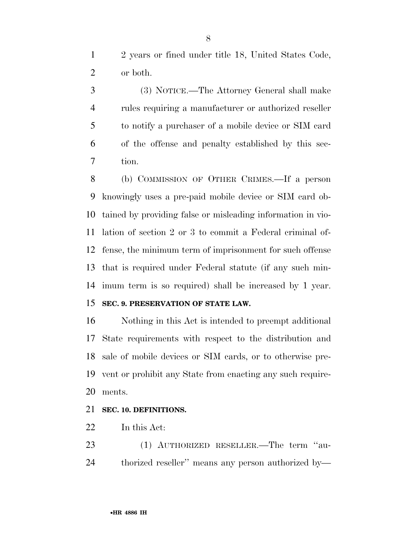2 years or fined under title 18, United States Code, or both.

 (3) NOTICE.—The Attorney General shall make rules requiring a manufacturer or authorized reseller to notify a purchaser of a mobile device or SIM card of the offense and penalty established by this sec-tion.

 (b) COMMISSION OF OTHER CRIMES.—If a person knowingly uses a pre-paid mobile device or SIM card ob- tained by providing false or misleading information in vio- lation of section 2 or 3 to commit a Federal criminal of- fense, the minimum term of imprisonment for such offense that is required under Federal statute (if any such min-imum term is so required) shall be increased by 1 year.

# **SEC. 9. PRESERVATION OF STATE LAW.**

 Nothing in this Act is intended to preempt additional State requirements with respect to the distribution and sale of mobile devices or SIM cards, or to otherwise pre- vent or prohibit any State from enacting any such require-ments.

## **SEC. 10. DEFINITIONS.**

In this Act:

 (1) AUTHORIZED RESELLER.—The term ''au-thorized reseller'' means any person authorized by—